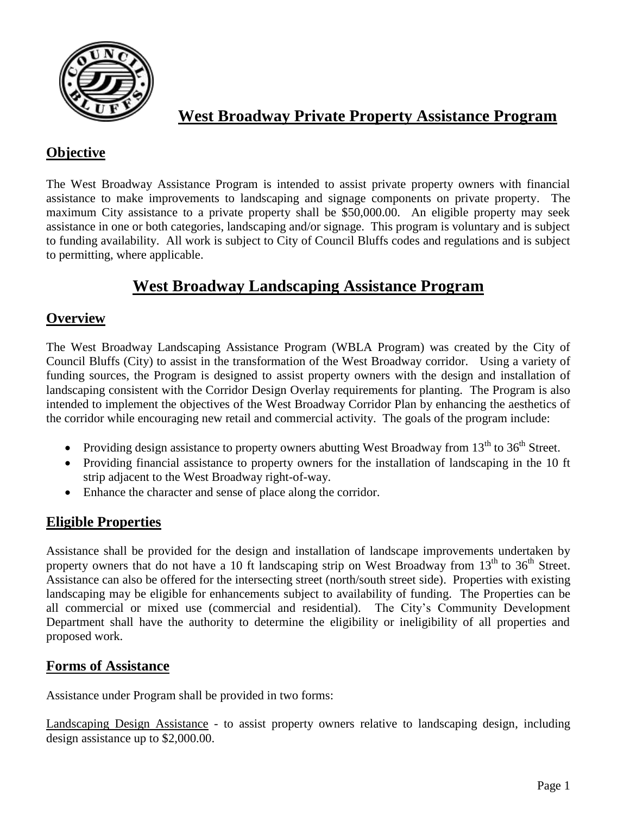

# **West Broadway Private Property Assistance Program**

## **Objective**

The West Broadway Assistance Program is intended to assist private property owners with financial assistance to make improvements to landscaping and signage components on private property. The maximum City assistance to a private property shall be \$50,000.00. An eligible property may seek assistance in one or both categories, landscaping and/or signage. This program is voluntary and is subject to funding availability. All work is subject to City of Council Bluffs codes and regulations and is subject to permitting, where applicable.

# **West Broadway Landscaping Assistance Program**

### **Overview**

The West Broadway Landscaping Assistance Program (WBLA Program) was created by the City of Council Bluffs (City) to assist in the transformation of the West Broadway corridor. Using a variety of funding sources, the Program is designed to assist property owners with the design and installation of landscaping consistent with the Corridor Design Overlay requirements for planting. The Program is also intended to implement the objectives of the West Broadway Corridor Plan by enhancing the aesthetics of the corridor while encouraging new retail and commercial activity. The goals of the program include:

- Providing design assistance to property owners abutting West Broadway from  $13<sup>th</sup>$  to  $36<sup>th</sup>$  Street.
- Providing financial assistance to property owners for the installation of landscaping in the 10 ft strip adjacent to the West Broadway right-of-way.
- Enhance the character and sense of place along the corridor.

## **Eligible Properties**

Assistance shall be provided for the design and installation of landscape improvements undertaken by property owners that do not have a 10 ft landscaping strip on West Broadway from 13<sup>th</sup> to 36<sup>th</sup> Street. Assistance can also be offered for the intersecting street (north/south street side). Properties with existing landscaping may be eligible for enhancements subject to availability of funding. The Properties can be all commercial or mixed use (commercial and residential). The City's Community Development Department shall have the authority to determine the eligibility or ineligibility of all properties and proposed work.

## **Forms of Assistance**

Assistance under Program shall be provided in two forms:

Landscaping Design Assistance - to assist property owners relative to landscaping design, including design assistance up to \$2,000.00.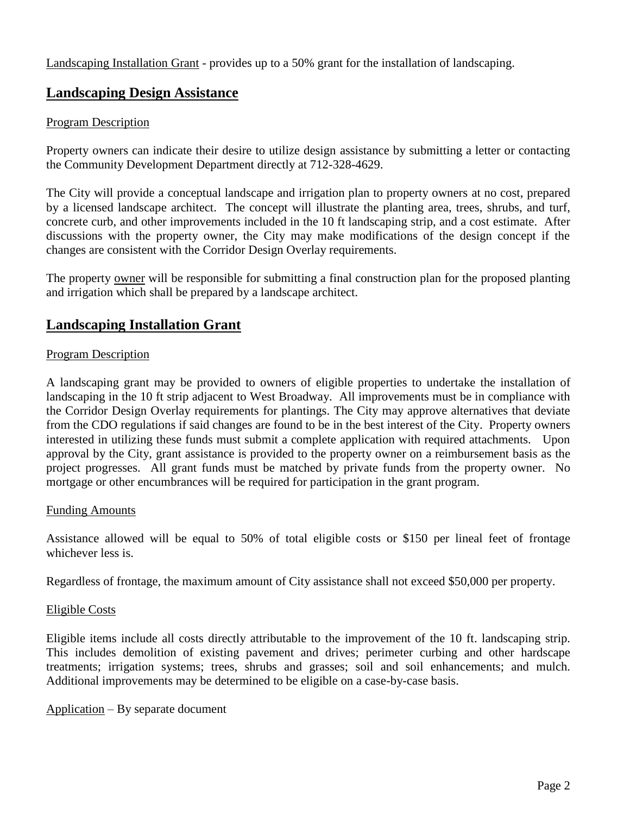Landscaping Installation Grant - provides up to a 50% grant for the installation of landscaping.

### **Landscaping Design Assistance**

### Program Description

Property owners can indicate their desire to utilize design assistance by submitting a letter or contacting the Community Development Department directly at 712-328-4629.

The City will provide a conceptual landscape and irrigation plan to property owners at no cost, prepared by a licensed landscape architect. The concept will illustrate the planting area, trees, shrubs, and turf, concrete curb, and other improvements included in the 10 ft landscaping strip, and a cost estimate. After discussions with the property owner, the City may make modifications of the design concept if the changes are consistent with the Corridor Design Overlay requirements.

The property owner will be responsible for submitting a final construction plan for the proposed planting and irrigation which shall be prepared by a landscape architect.

## **Landscaping Installation Grant**

### Program Description

A landscaping grant may be provided to owners of eligible properties to undertake the installation of landscaping in the 10 ft strip adjacent to West Broadway. All improvements must be in compliance with the Corridor Design Overlay requirements for plantings. The City may approve alternatives that deviate from the CDO regulations if said changes are found to be in the best interest of the City. Property owners interested in utilizing these funds must submit a complete application with required attachments. Upon approval by the City, grant assistance is provided to the property owner on a reimbursement basis as the project progresses. All grant funds must be matched by private funds from the property owner. No mortgage or other encumbrances will be required for participation in the grant program.

#### Funding Amounts

Assistance allowed will be equal to 50% of total eligible costs or \$150 per lineal feet of frontage whichever less is.

Regardless of frontage, the maximum amount of City assistance shall not exceed \$50,000 per property.

#### Eligible Costs

Eligible items include all costs directly attributable to the improvement of the 10 ft. landscaping strip. This includes demolition of existing pavement and drives; perimeter curbing and other hardscape treatments; irrigation systems; trees, shrubs and grasses; soil and soil enhancements; and mulch. Additional improvements may be determined to be eligible on a case-by-case basis.

Application – By separate document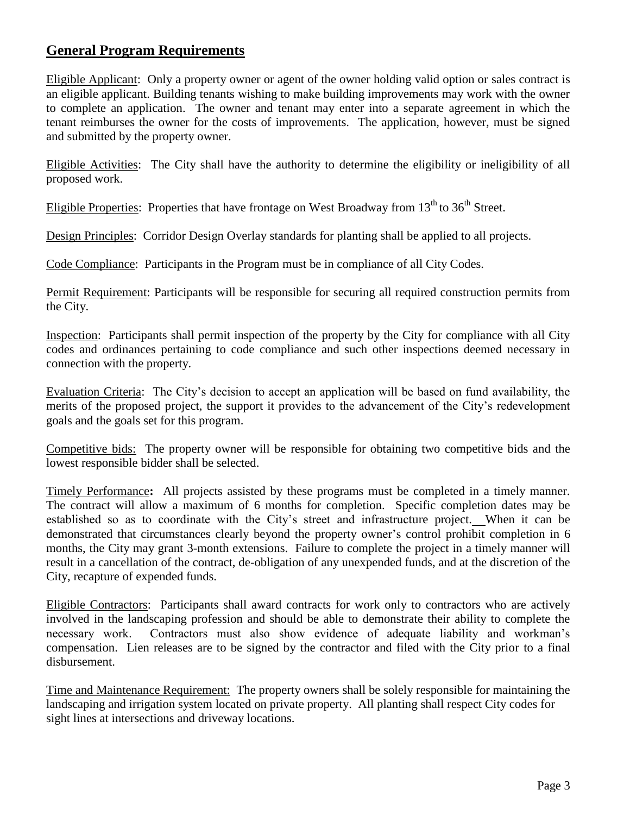## **General Program Requirements**

Eligible Applicant:Only a property owner or agent of the owner holding valid option or sales contract is an eligible applicant. Building tenants wishing to make building improvements may work with the owner to complete an application. The owner and tenant may enter into a separate agreement in which the tenant reimburses the owner for the costs of improvements. The application, however, must be signed and submitted by the property owner.

Eligible Activities: The City shall have the authority to determine the eligibility or ineligibility of all proposed work.

Eligible Properties: Properties that have frontage on West Broadway from  $13<sup>th</sup>$  to  $36<sup>th</sup>$  Street.

Design Principles:Corridor Design Overlay standards for planting shall be applied to all projects.

Code Compliance: Participants in the Program must be in compliance of all City Codes.

Permit Requirement: Participants will be responsible for securing all required construction permits from the City.

Inspection: Participants shall permit inspection of the property by the City for compliance with all City codes and ordinances pertaining to code compliance and such other inspections deemed necessary in connection with the property.

Evaluation Criteria:The City's decision to accept an application will be based on fund availability, the merits of the proposed project, the support it provides to the advancement of the City's redevelopment goals and the goals set for this program.

Competitive bids: The property owner will be responsible for obtaining two competitive bids and the lowest responsible bidder shall be selected.

Timely Performance**:** All projects assisted by these programs must be completed in a timely manner. The contract will allow a maximum of 6 months for completion. Specific completion dates may be established so as to coordinate with the City's street and infrastructure project. When it can be demonstrated that circumstances clearly beyond the property owner's control prohibit completion in 6 months, the City may grant 3-month extensions. Failure to complete the project in a timely manner will result in a cancellation of the contract, de-obligation of any unexpended funds, and at the discretion of the City, recapture of expended funds.

Eligible Contractors: Participants shall award contracts for work only to contractors who are actively involved in the landscaping profession and should be able to demonstrate their ability to complete the necessary work. Contractors must also show evidence of adequate liability and workman's compensation. Lien releases are to be signed by the contractor and filed with the City prior to a final disbursement.

Time and Maintenance Requirement: The property owners shall be solely responsible for maintaining the landscaping and irrigation system located on private property. All planting shall respect City codes for sight lines at intersections and driveway locations.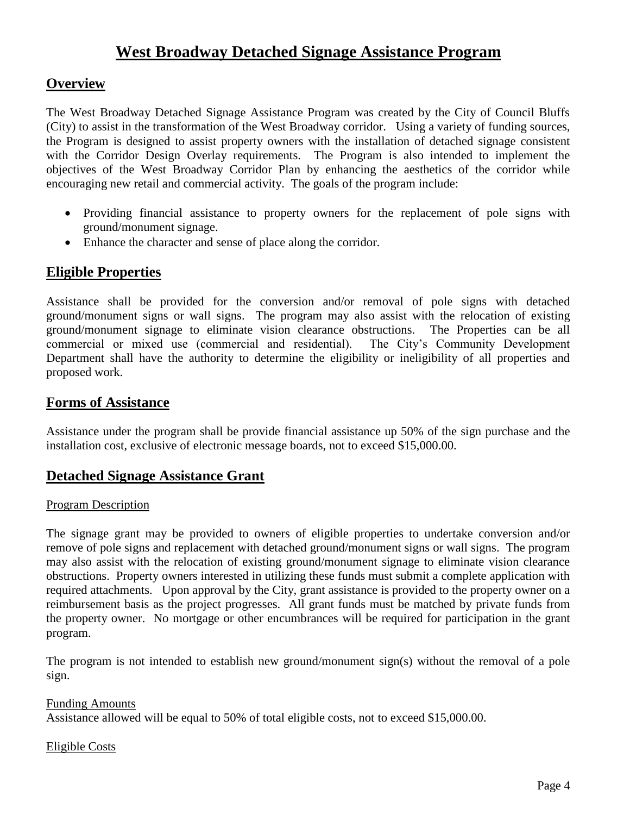# **West Broadway Detached Signage Assistance Program**

### **Overview**

The West Broadway Detached Signage Assistance Program was created by the City of Council Bluffs (City) to assist in the transformation of the West Broadway corridor. Using a variety of funding sources, the Program is designed to assist property owners with the installation of detached signage consistent with the Corridor Design Overlay requirements. The Program is also intended to implement the objectives of the West Broadway Corridor Plan by enhancing the aesthetics of the corridor while encouraging new retail and commercial activity. The goals of the program include:

- Providing financial assistance to property owners for the replacement of pole signs with ground/monument signage.
- Enhance the character and sense of place along the corridor.

### **Eligible Properties**

Assistance shall be provided for the conversion and/or removal of pole signs with detached ground/monument signs or wall signs. The program may also assist with the relocation of existing ground/monument signage to eliminate vision clearance obstructions. The Properties can be all commercial or mixed use (commercial and residential). The City's Community Development Department shall have the authority to determine the eligibility or ineligibility of all properties and proposed work.

### **Forms of Assistance**

Assistance under the program shall be provide financial assistance up 50% of the sign purchase and the installation cost, exclusive of electronic message boards, not to exceed \$15,000.00.

### **Detached Signage Assistance Grant**

#### Program Description

The signage grant may be provided to owners of eligible properties to undertake conversion and/or remove of pole signs and replacement with detached ground/monument signs or wall signs. The program may also assist with the relocation of existing ground/monument signage to eliminate vision clearance obstructions. Property owners interested in utilizing these funds must submit a complete application with required attachments. Upon approval by the City, grant assistance is provided to the property owner on a reimbursement basis as the project progresses. All grant funds must be matched by private funds from the property owner. No mortgage or other encumbrances will be required for participation in the grant program.

The program is not intended to establish new ground/monument sign(s) without the removal of a pole sign.

### Funding Amounts Assistance allowed will be equal to 50% of total eligible costs, not to exceed \$15,000.00.

### Eligible Costs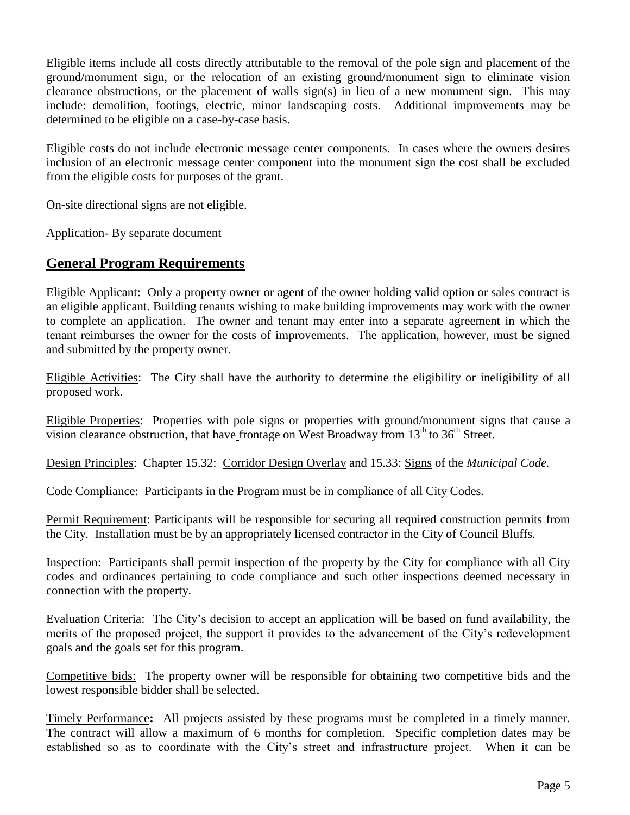Eligible items include all costs directly attributable to the removal of the pole sign and placement of the ground/monument sign, or the relocation of an existing ground/monument sign to eliminate vision clearance obstructions, or the placement of walls sign(s) in lieu of a new monument sign. This may include: demolition, footings, electric, minor landscaping costs. Additional improvements may be determined to be eligible on a case-by-case basis.

Eligible costs do not include electronic message center components. In cases where the owners desires inclusion of an electronic message center component into the monument sign the cost shall be excluded from the eligible costs for purposes of the grant.

On-site directional signs are not eligible.

Application- By separate document

### **General Program Requirements**

Eligible Applicant:Only a property owner or agent of the owner holding valid option or sales contract is an eligible applicant. Building tenants wishing to make building improvements may work with the owner to complete an application. The owner and tenant may enter into a separate agreement in which the tenant reimburses the owner for the costs of improvements. The application, however, must be signed and submitted by the property owner.

Eligible Activities: The City shall have the authority to determine the eligibility or ineligibility of all proposed work.

Eligible Properties: Properties with pole signs or properties with ground/monument signs that cause a vision clearance obstruction, that have frontage on West Broadway from 13<sup>th</sup> to 36<sup>th</sup> Street.

Design Principles:Chapter 15.32: Corridor Design Overlay and 15.33: Signs of the *Municipal Code.*

Code Compliance: Participants in the Program must be in compliance of all City Codes.

Permit Requirement: Participants will be responsible for securing all required construction permits from the City. Installation must be by an appropriately licensed contractor in the City of Council Bluffs.

Inspection: Participants shall permit inspection of the property by the City for compliance with all City codes and ordinances pertaining to code compliance and such other inspections deemed necessary in connection with the property.

Evaluation Criteria:The City's decision to accept an application will be based on fund availability, the merits of the proposed project, the support it provides to the advancement of the City's redevelopment goals and the goals set for this program.

Competitive bids: The property owner will be responsible for obtaining two competitive bids and the lowest responsible bidder shall be selected.

Timely Performance**:** All projects assisted by these programs must be completed in a timely manner. The contract will allow a maximum of 6 months for completion. Specific completion dates may be established so as to coordinate with the City's street and infrastructure project. When it can be